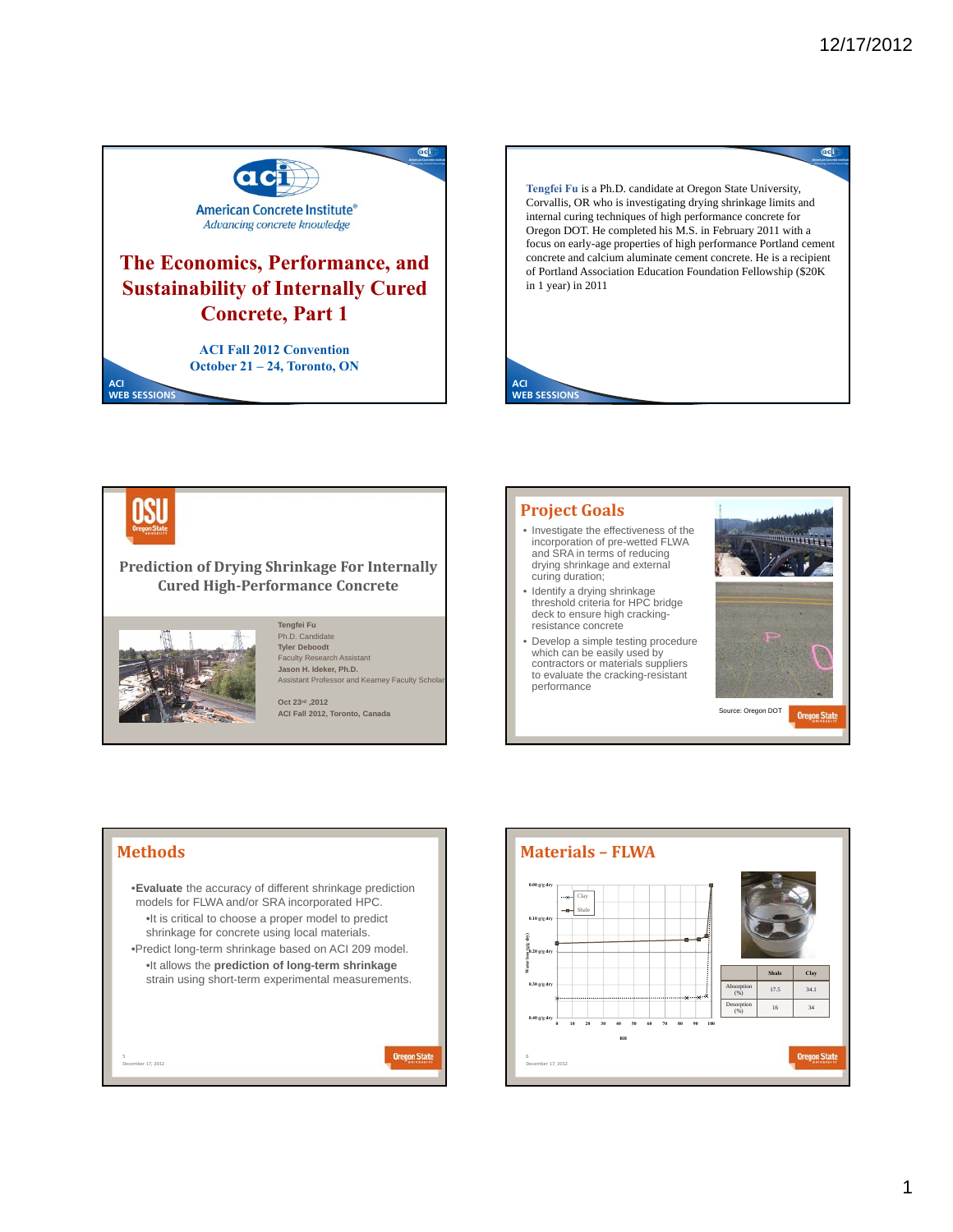Gci





### **Prediction of Drying Shrinkage For Internally Cured High‐Performance Concrete**



December 17, 2012

#### **Tengfei Fu** Ph.D. Candidate **Tyler Deboodt** Faculty Research Assistant

**Jason H. Ideker, Ph.D.** Assistant Professor and Kearney Faculty Scho

**Oct 23rd ,2012 ACI Fall 2012, Toronto, Canada**



- Investigate the effectiveness of the incorporation of pre-wetted FLWA and SRA in terms of reducing drying shrinkage and external curing duration;
- Identify a drying shrinkage threshold criteria for HPC bridge deck to ensure high crackingresistance concrete
- Develop a simple testing procedure which can be easily used by contractors or materials suppliers to evaluate the cracking-resistant performance





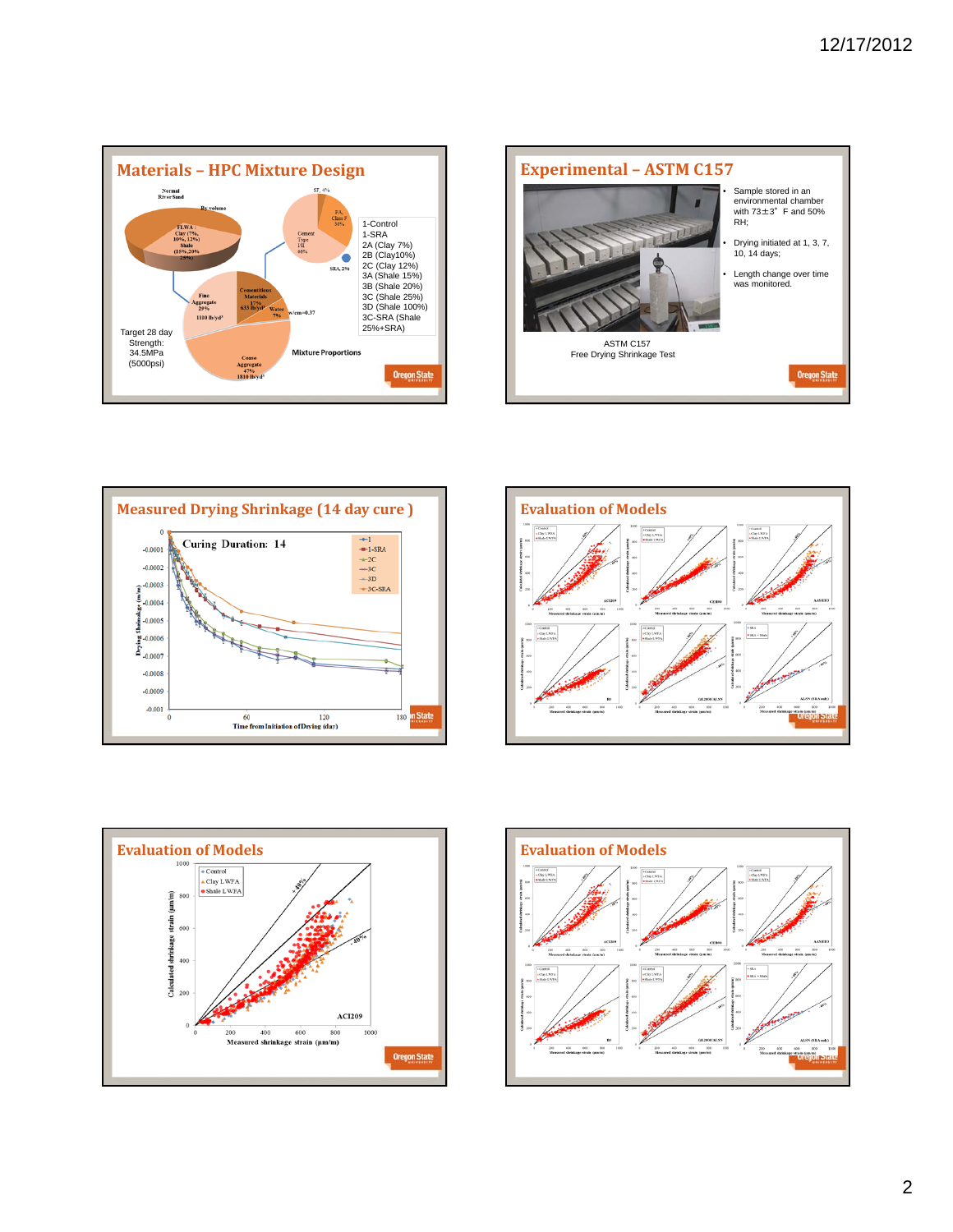









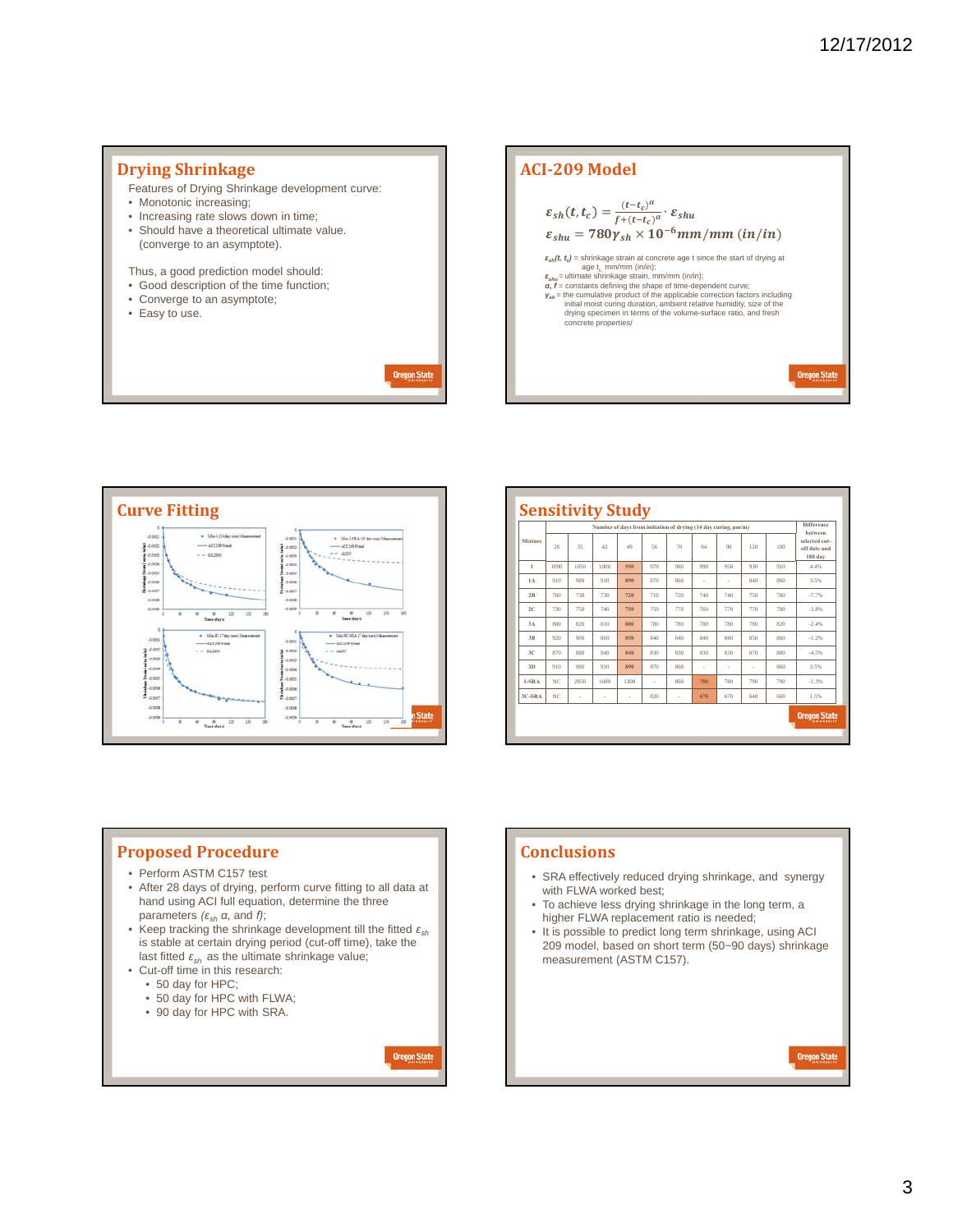#### **Drying Shrinkage ACI‐209 Model** Features of Drying Shrinkage development curve: • Monotonic increasing;  $\varepsilon_{sh}(t,t_c) = \frac{(t-t_c)^{\alpha}}{f+(t-t_c)^{\alpha}} \cdot \varepsilon_{shu}$ • Increasing rate slows down in time; • Should have a theoretical ultimate value.  $\varepsilon_{shu} = 780 \gamma_{sh} \times 10^{-6} \, mm/mm \, (in/in)$ (converge to an asymptote).  $\varepsilon_{\text{an}}(t, t_o) = \text{shrinkage}$  strain at concrete age t since the start of drying at  $\varepsilon_{\text{an}} = \text{utimate}$  shrinkage strain, mn/mm (in/in);<br>  $\varepsilon_{\text{an}}t = \text{cutimate}$  shrinkage strain, mn/mm (in/in);<br>  $\alpha, t = \text{constant}$ s defining the shape o Thus, a good prediction model should: • Good description of the time function; • Converge to an asymptote; • Easy to use. concrete properties/ **Oregon State Oregon State**



|                | Number of days from initiation of drying (14 day curing, um/m) |      |      |      |     |     |     |     |     |     |                                          |
|----------------|----------------------------------------------------------------|------|------|------|-----|-----|-----|-----|-----|-----|------------------------------------------|
| Mixture        | 28                                                             | 35   | 42   | 49   | 56  | 70  | 84  | 98  | 120 | 180 | selected cut-<br>off date and<br>180 day |
| $\mathbf{1}$   | 1090                                                           | 1050 | 1000 | 950  | 970 | 980 | 990 | 950 | 930 | 910 | 4.4%                                     |
| <b>1A</b>      | 910                                                            | 980  | 910  | 890  | 870 | 860 | ä,  | ٠   | 840 | 860 | 3.5%                                     |
| 2R             | 760                                                            | 730  | 730  | 720  | 710 | 720 | 740 | 740 | 750 | 780 | $-7.7%$                                  |
| 2C             | 730                                                            | 750  | 740  | 750  | 750 | 770 | 760 | 770 | 770 | 780 | $-3.8%$                                  |
| 3A             | 880                                                            | 820  | 810  | 800  | 780 | 780 | 780 | 780 | 780 | 820 | $-2.4%$                                  |
| 3 <sub>R</sub> | 920                                                            | 900  | 860  | 850  | 840 | 840 | 840 | 840 | 850 | 860 | $-1.2%$                                  |
| 3C             | 870                                                            | 880  | 840  | 840  | 830 | 830 | 830 | 830 | 870 | 880 | $-4.5%$                                  |
| 3D             | 910                                                            | 980  | 910  | 890  | 870 | 860 | ×   | ٠   | ×   | 860 | 3.5%                                     |
| $1-SRA$        | NC.                                                            | 2850 | 1680 | 1300 | ٠   | 860 | 780 | 780 | 790 | 790 | $-1.3%$                                  |
| 3C-SRA         | NC                                                             | ×    | ÷    | ×    | 820 | i,  | 670 | 670 | 640 | 660 | 1.5%                                     |

# **Proposed Procedure**

- Perform ASTM C157 test
- After 28 days of drying, perform curve fitting to all data at hand using ACI full equation, determine the three parameters  $(\varepsilon_{sh} \alpha, \text{ and } \beta)$ ;
- Keep tracking the shrinkage development till the fitted *εsh* is stable at certain drying period (cut-off time), take the last fitted  $\varepsilon_{sh}$  as the ultimate shrinkage value;

**Oregon State** 

- Cut-off time in this research:
	- 50 day for HPC;
	- 50 day for HPC with FLWA;
	- 90 day for HPC with SRA.

## **Conclusions**

- SRA effectively reduced drying shrinkage, and synergy with FLWA worked best;
- To achieve less drying shrinkage in the long term, a higher FLWA replacement ratio is needed;
- It is possible to predict long term shrinkage, using ACI 209 model, based on short term (50~90 days) shrinkage measurement (ASTM C157).

Oregon State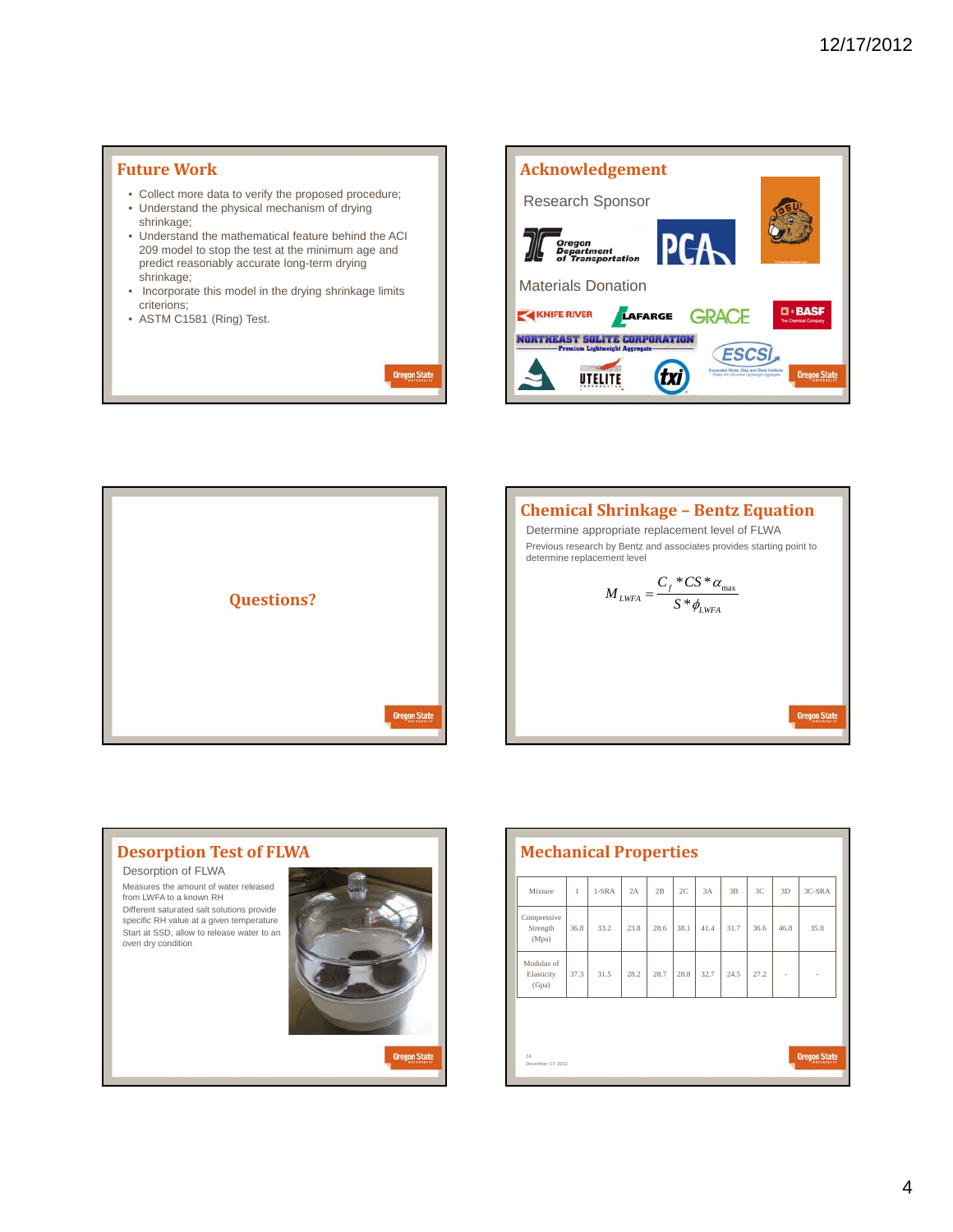

**Oregon State** 









| Mixture                           | 1    | $1-SRA$ | 2A   | 2B   | 2C   | 3A   | 3B   | 3C   | 3D   | 3C-SRA |
|-----------------------------------|------|---------|------|------|------|------|------|------|------|--------|
| Compressive<br>Strength<br>(Mpa)  | 36.8 | 33.2    | 23.8 | 28.6 | 38.1 | 41.4 | 31.7 | 36.6 | 46.8 | 35.0   |
| Modulus of<br>Elasticity<br>(Gpa) | 37.3 | 31.5    | 28.2 | 28.7 | 28.8 | 32.7 | 24.5 | 27.2 | ٠    |        |